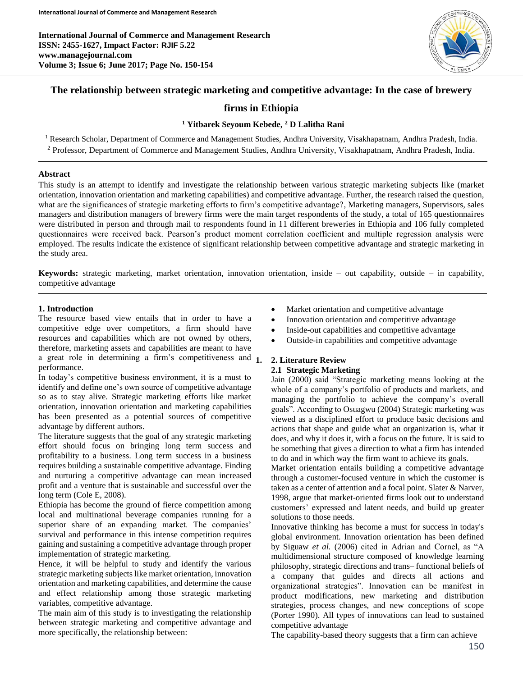

# **The relationship between strategic marketing and competitive advantage: In the case of brewery**

# **firms in Ethiopia**

### **<sup>1</sup> Yitbarek Seyoum Kebede, <sup>2</sup> D Lalitha Rani**

<sup>1</sup> Research Scholar, Department of Commerce and Management Studies, Andhra University, Visakhapatnam, Andhra Pradesh, India. <sup>2</sup> Professor, Department of Commerce and Management Studies, Andhra University, Visakhapatnam, Andhra Pradesh, India.

#### **Abstract**

This study is an attempt to identify and investigate the relationship between various strategic marketing subjects like (market orientation, innovation orientation and marketing capabilities) and competitive advantage. Further, the research raised the question, what are the significances of strategic marketing efforts to firm's competitive advantage?, Marketing managers, Supervisors, sales managers and distribution managers of brewery firms were the main target respondents of the study, a total of 165 questionnaires were distributed in person and through mail to respondents found in 11 different breweries in Ethiopia and 106 fully completed questionnaires were received back. Pearson's product moment correlation coefficient and multiple regression analysis were employed. The results indicate the existence of significant relationship between competitive advantage and strategic marketing in the study area.

**Keywords:** strategic marketing, market orientation, innovation orientation, inside – out capability, outside – in capability, competitive advantage

#### **1. Introduction**

The resource based view entails that in order to have a competitive edge over competitors, a firm should have resources and capabilities which are not owned by others, therefore, marketing assets and capabilities are meant to have a great role in determining a firm's competitiveness and  $<sub>1</sub>$ </sub> performance.

In today's competitive business environment, it is a must to identify and define one's own source of competitive advantage so as to stay alive. Strategic marketing efforts like market orientation, innovation orientation and marketing capabilities has been presented as a potential sources of competitive advantage by different authors.

The literature suggests that the goal of any strategic marketing effort should focus on bringing long term success and profitability to a business. Long term success in a business requires building a sustainable competitive advantage. Finding and nurturing a competitive advantage can mean increased profit and a venture that is sustainable and successful over the long term (Cole E, 2008).

Ethiopia has become the ground of fierce competition among local and multinational beverage companies running for a superior share of an expanding market. The companies' survival and performance in this intense competition requires gaining and sustaining a competitive advantage through proper implementation of strategic marketing.

Hence, it will be helpful to study and identify the various strategic marketing subjects like market orientation, innovation orientation and marketing capabilities, and determine the cause and effect relationship among those strategic marketing variables, competitive advantage.

The main aim of this study is to investigating the relationship between strategic marketing and competitive advantage and more specifically, the relationship between:

- Market orientation and competitive advantage
- Innovation orientation and competitive advantage
- Inside-out capabilities and competitive advantage
- Outside-in capabilities and competitive advantage

# **1. 2. Literature Review**

### **2.1 Strategic Marketing**

Jain (2000) said "Strategic marketing means looking at the whole of a company's portfolio of products and markets, and managing the portfolio to achieve the company's overall goals". According to Osuagwu (2004) Strategic marketing was viewed as a disciplined effort to produce basic decisions and actions that shape and guide what an organization is, what it does, and why it does it, with a focus on the future. It is said to be something that gives a direction to what a firm has intended to do and in which way the firm want to achieve its goals.

Market orientation entails building a competitive advantage through a customer-focused venture in which the customer is taken as a center of attention and a focal point. Slater & Narver, 1998, argue that market-oriented firms look out to understand customers' expressed and latent needs, and build up greater solutions to those needs.

Innovative thinking has become a must for success in today's global environment. Innovation orientation has been defined by Siguaw *et al.* (2006) cited in Adrian and Cornel, as "A multidimensional structure composed of knowledge learning philosophy, strategic directions and trans– functional beliefs of a company that guides and directs all actions and organizational strategies". Innovation can be manifest in product modifications, new marketing and distribution strategies, process changes, and new conceptions of scope (Porter 1990). All types of innovations can lead to sustained competitive advantage

The capability-based theory suggests that a firm can achieve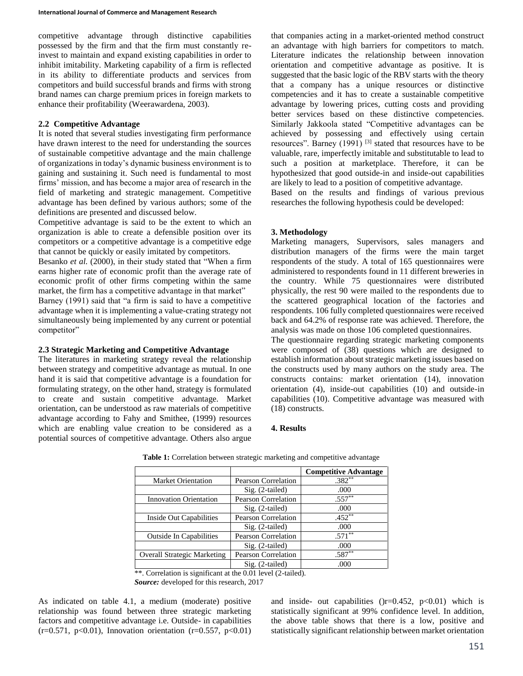competitive advantage through distinctive capabilities possessed by the firm and that the firm must constantly reinvest to maintain and expand existing capabilities in order to inhibit imitability. Marketing capability of a firm is reflected in its ability to differentiate products and services from competitors and build successful brands and firms with strong brand names can charge premium prices in foreign markets to enhance their profitability (Weerawardena, 2003).

#### **2.2 Competitive Advantage**

competitor"

It is noted that several studies investigating firm performance have drawn interest to the need for understanding the sources of sustainable competitive advantage and the main challenge of organizations in today's dynamic business environment is to gaining and sustaining it. Such need is fundamental to most firms' mission, and has become a major area of research in the field of marketing and strategic management. Competitive advantage has been defined by various authors; some of the definitions are presented and discussed below.

Competitive advantage is said to be the extent to which an organization is able to create a defensible position over its competitors or a competitive advantage is a competitive edge that cannot be quickly or easily imitated by competitors.

Besanko *et al.* (2000), in their study stated that "When a firm earns higher rate of economic profit than the average rate of economic profit of other firms competing within the same market, the firm has a competitive advantage in that market" Barney (1991) said that "a firm is said to have a competitive advantage when it is implementing a value-crating strategy not simultaneously being implemented by any current or potential

#### **2.3 Strategic Marketing and Competitive Advantage**

The literatures in marketing strategy reveal the relationship between strategy and competitive advantage as mutual. In one hand it is said that competitive advantage is a foundation for formulating strategy, on the other hand, strategy is formulated to create and sustain competitive advantage. Market orientation, can be understood as raw materials of competitive advantage according to Fahy and Smithee, (1999) resources which are enabling value creation to be considered as a potential sources of competitive advantage. Others also argue

that companies acting in a market-oriented method construct an advantage with high barriers for competitors to match. Literature indicates the relationship between innovation orientation and competitive advantage as positive. It is suggested that the basic logic of the RBV starts with the theory that a company has a unique resources or distinctive competencies and it has to create a sustainable competitive advantage by lowering prices, cutting costs and providing better services based on these distinctive competencies. Similarly Jakkoola stated "Competitive advantages can be achieved by possessing and effectively using certain resources". Barney  $(1991)$ <sup>[3]</sup> stated that resources have to be valuable, rare, imperfectly imitable and substitutable to lead to such a position at marketplace. Therefore, it can be hypothesized that good outside-in and inside-out capabilities are likely to lead to a position of competitive advantage.

Based on the results and findings of various previous researches the following hypothesis could be developed:

#### **3. Methodology**

Marketing managers, Supervisors, sales managers and distribution managers of the firms were the main target respondents of the study. A total of 165 questionnaires were administered to respondents found in 11 different breweries in the country. While 75 questionnaires were distributed physically, the rest 90 were mailed to the respondents due to the scattered geographical location of the factories and respondents. 106 fully completed questionnaires were received back and 64.2% of response rate was achieved. Therefore, the analysis was made on those 106 completed questionnaires.

The questionnaire regarding strategic marketing components were composed of (38) questions which are designed to establish information about strategic marketing issues based on the constructs used by many authors on the study area. The constructs contains: market orientation (14), innovation orientation (4), inside-out capabilities (10) and outside-in capabilities (10). Competitive advantage was measured with (18) constructs.

#### **4. Results**

|                                    |                            | <b>Competitive Advantage</b> |
|------------------------------------|----------------------------|------------------------------|
| <b>Market Orientation</b>          | Pearson Correlation        | $.382**$                     |
|                                    | $Sig. (2-tailed)$          | .000                         |
| <b>Innovation Orientation</b>      | Pearson Correlation        | $.557***$                    |
|                                    | $Sig. (2-tailed)$          | .000                         |
| Inside Out Capabilities            | Pearson Correlation        | $.452***$                    |
|                                    | $Sig. (2-tailed)$          | .000                         |
| <b>Outside In Capabilities</b>     | <b>Pearson Correlation</b> | $.571***$                    |
|                                    | $Sig. (2-tailed)$          | .000                         |
| <b>Overall Strategic Marketing</b> | <b>Pearson Correlation</b> | $.587**$                     |
|                                    | $Sig. (2-tailed)$          | .000                         |

**Table 1:** Correlation between strategic marketing and competitive advantage

\*\*. Correlation is significant at the 0.01 level (2-tailed).

*Source:* developed for this research, 2017

As indicated on table 4.1, a medium (moderate) positive relationship was found between three strategic marketing factors and competitive advantage i.e. Outside- in capabilities  $(r=0.571, p<0.01)$ , Innovation orientation  $(r=0.557, p<0.01)$  and inside- out capabilities  $(r=0.452, p<0.01)$  which is statistically significant at 99% confidence level. In addition, the above table shows that there is a low, positive and statistically significant relationship between market orientation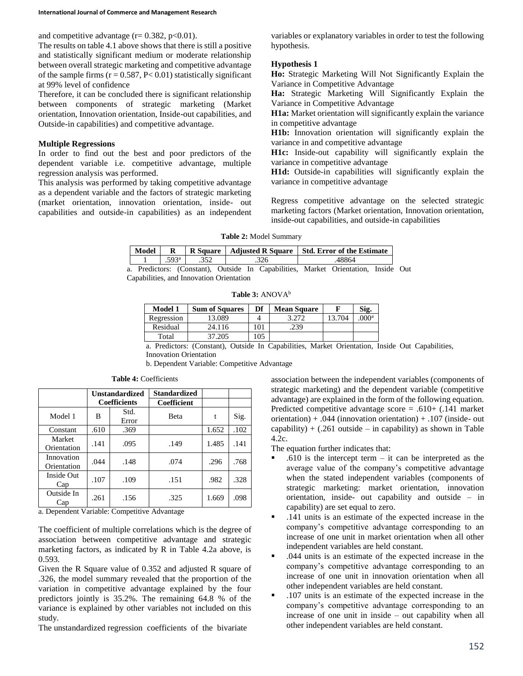and competitive advantage  $(r= 0.382, p<0.01)$ .

The results on table 4.1 above shows that there is still a positive and statistically significant medium or moderate relationship between overall strategic marketing and competitive advantage of the sample firms  $(r = 0.587, P < 0.01)$  statistically significant at 99% level of confidence

Therefore, it can be concluded there is significant relationship between components of strategic marketing (Market orientation, Innovation orientation, Inside-out capabilities, and Outside-in capabilities) and competitive advantage.

## **Multiple Regressions**

In order to find out the best and poor predictors of the dependent variable i.e. competitive advantage, multiple regression analysis was performed.

This analysis was performed by taking competitive advantage as a dependent variable and the factors of strategic marketing (market orientation, innovation orientation, inside- out capabilities and outside-in capabilities) as an independent variables or explanatory variables in order to test the following hypothesis.

#### **Hypothesis 1**

**Ho:** Strategic Marketing Will Not Significantly Explain the Variance in Competitive Advantage

**Ha:** Strategic Marketing Will Significantly Explain the Variance in Competitive Advantage

**H1a:** Market orientation will significantly explain the variance in competitive advantage

**H1b:** Innovation orientation will significantly explain the variance in and competitive advantage

**H1c:** Inside-out capability will significantly explain the variance in competitive advantage

**H1d:** Outside-in capabilities will significantly explain the variance in competitive advantage

Regress competitive advantage on the selected strategic marketing factors (Market orientation, Innovation orientation, inside-out capabilities, and outside-in capabilities

| Table 2: Model Summary |  |
|------------------------|--|
|------------------------|--|

|  |                       |  |      | Model   R   R Square   Adjusted R Square   Std. Error of the Estimate              |  |
|--|-----------------------|--|------|------------------------------------------------------------------------------------|--|
|  | $.593^{\circ}$ $.352$ |  | .326 | .48864                                                                             |  |
|  |                       |  |      | a. Predictors: (Constant), Outside In Capabilities, Market Orientation, Inside Out |  |

Capabilities, and Innovation Orientation

Table 3: ANOVA<sup>b</sup>

| <b>Model 1</b> | <b>Sum of Squares</b> | Df       | <b>Mean Square</b> |       | Sig.          |
|----------------|-----------------------|----------|--------------------|-------|---------------|
| Regression     | 13.089                |          |                    | 3.704 | $000^{\rm a}$ |
| Residual       | 24.116                | $\Omega$ | .239               |       |               |
| Total          | 37.205                | l 05     |                    |       |               |

a. Predictors: (Constant), Outside In Capabilities, Market Orientation, Inside Out Capabilities, Innovation Orientation

b. Dependent Variable: Competitive Advantage

|                           | <b>Unstandardized</b> |               | <b>Standardized</b> |       |      |
|---------------------------|-----------------------|---------------|---------------------|-------|------|
|                           | <b>Coefficients</b>   |               | Coefficient         |       |      |
| Model 1                   | B                     | Std.<br>Error | <b>B</b> eta        | t     | Sig. |
| Constant                  | .610                  | .369          |                     | 1.652 | .102 |
| Market<br>Orientation     | .141                  | .095          | .149                | 1.485 | .141 |
| Innovation<br>Orientation | .044                  | .148          | .074                | .296  | .768 |
| Inside Out<br>Cap         | .107                  | .109          | .151                | .982  | .328 |
| Outside In<br>Cap         | .261                  | .156          | .325                | 1.669 | .098 |

**Table 4:** Coefficients

a. Dependent Variable: Competitive Advantage

The coefficient of multiple correlations which is the degree of association between competitive advantage and strategic marketing factors, as indicated by R in Table 4.2a above, is 0.593.

Given the R Square value of 0.352 and adjusted R square of .326, the model summary revealed that the proportion of the variation in competitive advantage explained by the four predictors jointly is 35.2%. The remaining 64.8 % of the variance is explained by other variables not included on this study.

The unstandardized regression coefficients of the bivariate

association between the independent variables (components of strategic marketing) and the dependent variable (competitive advantage) are explained in the form of the following equation. Predicted competitive advantage score = .610+ (.141 market orientation) + .044 (innovation orientation) + .107 (inside- out capability) +  $(.261 \text{ outside} - \text{in capability})$  as shown in Table 4.2c.

The equation further indicates that:

- .610 is the intercept term  $-$  it can be interpreted as the average value of the company's competitive advantage when the stated independent variables (components of strategic marketing: market orientation, innovation orientation, inside- out capability and outside – in capability) are set equal to zero.
- .141 units is an estimate of the expected increase in the company's competitive advantage corresponding to an increase of one unit in market orientation when all other independent variables are held constant.
- .044 units is an estimate of the expected increase in the company's competitive advantage corresponding to an increase of one unit in innovation orientation when all other independent variables are held constant.
- .107 units is an estimate of the expected increase in the company's competitive advantage corresponding to an increase of one unit in inside – out capability when all other independent variables are held constant.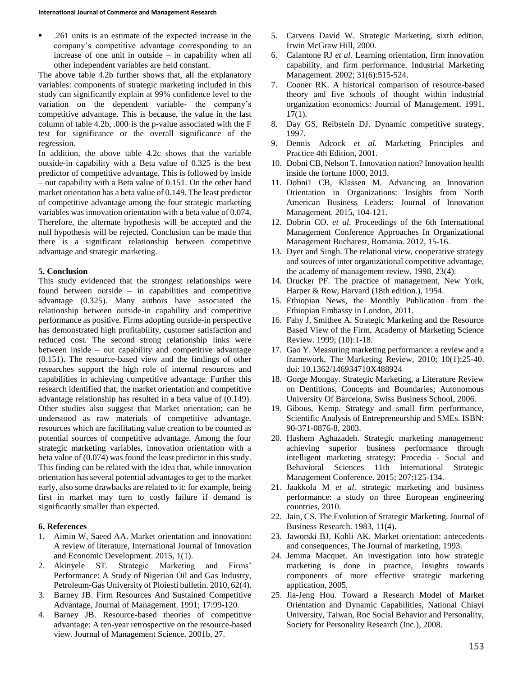.261 units is an estimate of the expected increase in the company's competitive advantage corresponding to an increase of one unit in outside – in capability when all other independent variables are held constant.

The above table 4.2b further shows that, all the explanatory variables: components of strategic marketing included in this study can significantly explain at 99% confidence level to the variation on the dependent variable- the company's competitive advantage. This is because, the value in the last column of table 4.2b,  $.000$  is the p-value associated with the F test for significance or the overall significance of the regression.

In addition, the above table 4.2c shows that the variable outside-in capability with a Beta value of 0.325 is the best predictor of competitive advantage. This is followed by inside – out capability with a Beta value of 0.151. On the other hand market orientation has a beta value of 0.149. The least predictor of competitive advantage among the four strategic marketing variables was innovation orientation with a beta value of 0.074. Therefore, the alternate hypothesis will be accepted and the null hypothesis will be rejected. Conclusion can be made that there is a significant relationship between competitive advantage and strategic marketing.

#### **5. Conclusion**

This study evidenced that the strongest relationships were found between outside – in capabilities and competitive advantage (0.325). Many authors have associated the relationship between outside-in capability and competitive performance as positive. Firms adopting outside-in perspective has demonstrated high profitability, customer satisfaction and reduced cost. The second strong relationship links were between inside – out capability and competitive advantage (0.151). The resource-based view and the findings of other researches support the high role of internal resources and capabilities in achieving competitive advantage. Further this research identified that, the market orientation and competitive advantage relationship has resulted in a beta value of (0.149). Other studies also suggest that Market orientation; can be understood as raw materials of competitive advantage, resources which are facilitating value creation to be counted as potential sources of competitive advantage. Among the four strategic marketing variables, innovation orientation with a beta value of (0.074) was found the least predictor in this study. This finding can be related with the idea that, while innovation orientation has several potential advantages to get to the market early, also some drawbacks are related to it: for example, being first in market may turn to costly failure if demand is significantly smaller than expected.

#### **6. References**

- 1. Aimin W, Saeed AA. Market orientation and innovation: A review of literature, International Journal of Innovation and Economic Development. 2015, 1(1).
- 2. Akinyele ST. Strategic Marketing and Firms' Performance: A Study of Nigerian Oil and Gas Industry, Petroleum-Gas University of Ploiesti bulletin. 2010, 62(4).
- 3. Barney JB. Firm Resources And Sustained Competitive Advantage, Journal of Management. 1991; 17:99-120.
- 4. Barney JB. Resource-based theories of competitive advantage: A ten-year retrospective on the resource-based view. Journal of Management Science. 2001b, 27.
- 5. Carvens David W. Strategic Marketing, sixth edition, Irwin McGraw Hill, 2000.
- 6. Calantone RJ *et al.* Learning orientation, firm innovation capability, and firm performance. Industrial Marketing Management. 2002; 31(6):515-524.
- 7. Cooner RK. A historical comparison of resource-based theory and five schools of thought within industrial organization economics: Journal of Management. 1991,  $17(1)$ .
- 8. Day GS, Reibstein DJ. Dynamic competitive strategy, 1997.
- 9. Dennis Adcock *et al.* Marketing Principles and Practice 4th Edition, 2001.
- 10. Dobni CB, Nelson T. Innovation nation? Innovation health inside the fortune 1000, 2013.
- 11. Dobni1 CB, Klassen M. Advancing an Innovation Orientation in Organizations: Insights from North American Business Leaders: Journal of Innovation Management. 2015, 104-121.
- 12. Dobrin CO. *et al*. Proceedings of the 6th International Management Conference Approaches In Organizational Management Bucharest, Romania. 2012, 15-16.
- 13. Dyer and Singh. The relational view, cooperative strategy and sources of inter organizational competitive advantage, the academy of management review. 1998, 23(4).
- 14. Drucker PF. The practice of management, New York, Harper & Row, Harvard (18th edition.), 1954.
- 15. Ethiopian News, the Monthly Publication from the Ethiopian Embassy in London, 2011.
- 16. Fahy J, Smithee A. Strategic Marketing and the Resource Based View of the Firm, Academy of Marketing Science Review. 1999; (10):1-18.
- 17. Gao Y. Measuring marketing performance: a review and a framework, The Marketing Review, 2010; 10(1):25-40. doi: 10.1362/146934710X488924
- 18. Gorge Mongay. Strategic Marketing, a Literature Review on Dentitions, Concepts and Boundaries; Autonomous University Of Barcelona, Swiss Business School, 2006.
- 19. Gibous, Kemp. Strategy and small firm performance, Scientific Analysis of Entrepreneurship and SMEs. ISBN: 90-371-0876-8, 2003.
- 20. Hashem Aghazadeh. Strategic marketing management: achieving superior business performance through intelligent marketing strategy: Procedia - Social and Behavioral Sciences 11th International Strategic Management Conference. 2015; 207:125-134.
- 21. Jaakkola M *et al*. strategic marketing and business performance: a study on three European engineering countries, 2010.
- 22. Jain, CS. The Evolution of Strategic Marketing. Journal of Business Research. 1983, 11(4).
- 23. Jaworski BJ, Kohli AK. Market orientation: antecedents and consequences, The Journal of marketing, 1993.
- 24. Jemma Macquet. An investigation into how strategic marketing is done in practice, Insights towards components of more effective strategic marketing application, 2005.
- 25. Jia-Jeng Hou. Toward a Research Model of Market Orientation and Dynamic Capabilities, National Chiayi University, Taiwan, Roc Social Behavior and Personality, Society for Personality Research (Inc.), 2008.